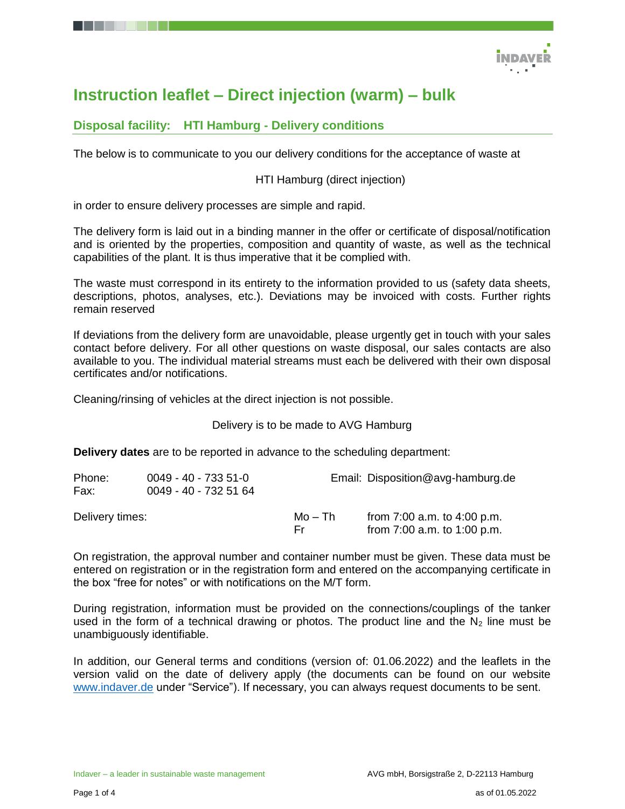

# **Instruction leaflet – Direct injection (warm) – bulk**

### **Disposal facility: HTI Hamburg - Delivery conditions**

The below is to communicate to you our delivery conditions for the acceptance of waste at

### HTI Hamburg (direct injection)

in order to ensure delivery processes are simple and rapid.

The delivery form is laid out in a binding manner in the offer or certificate of disposal/notification and is oriented by the properties, composition and quantity of waste, as well as the technical capabilities of the plant. It is thus imperative that it be complied with.

The waste must correspond in its entirety to the information provided to us (safety data sheets, descriptions, photos, analyses, etc.). Deviations may be invoiced with costs. Further rights remain reserved

If deviations from the delivery form are unavoidable, please urgently get in touch with your sales contact before delivery. For all other questions on waste disposal, our sales contacts are also available to you. The individual material streams must each be delivered with their own disposal certificates and/or notifications.

Cleaning/rinsing of vehicles at the direct injection is not possible.

Delivery is to be made to AVG Hamburg

**Delivery dates** are to be reported in advance to the scheduling department:

| Phone:<br>Fax:  | 0049 - 40 - 733 51-0<br>0049 - 40 - 732 51 64 | Email: Disposition@avg-hamburg.de |                                                                |  |
|-----------------|-----------------------------------------------|-----------------------------------|----------------------------------------------------------------|--|
| Delivery times: |                                               | Mo – Th<br>Fr.                    | from $7:00$ a.m. to $4:00$ p.m.<br>from 7:00 a.m. to 1:00 p.m. |  |

On registration, the approval number and container number must be given. These data must be entered on registration or in the registration form and entered on the accompanying certificate in the box "free for notes" or with notifications on the M/T form.

During registration, information must be provided on the connections/couplings of the tanker used in the form of a technical drawing or photos. The product line and the  $N_2$  line must be unambiguously identifiable.

In addition, our General terms and conditions (version of: 01.06.2022) and the leaflets in the version valid on the date of delivery apply (the documents can be found on our website [www.indaver.de](http://www.indaver.de/) under "Service"). If necessary, you can always request documents to be sent.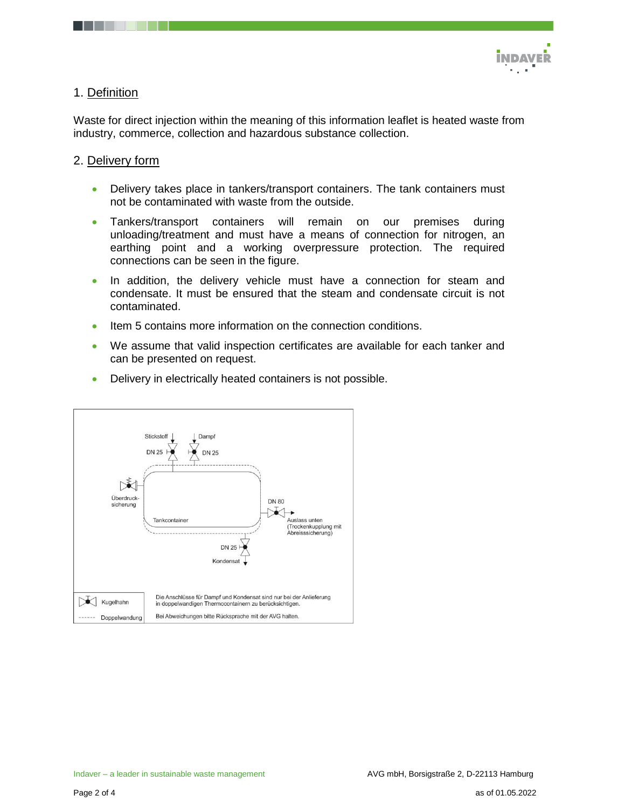

### 1. Definition

Waste for direct injection within the meaning of this information leaflet is heated waste from industry, commerce, collection and hazardous substance collection.

### 2. Delivery form

- Delivery takes place in tankers/transport containers. The tank containers must not be contaminated with waste from the outside.
- Tankers/transport containers will remain on our premises during unloading/treatment and must have a means of connection for nitrogen, an earthing point and a working overpressure protection. The required connections can be seen in the figure.
- In addition, the delivery vehicle must have a connection for steam and condensate. It must be ensured that the steam and condensate circuit is not contaminated.
- Item 5 contains more information on the connection conditions.
- We assume that valid inspection certificates are available for each tanker and can be presented on request.
- Delivery in electrically heated containers is not possible.

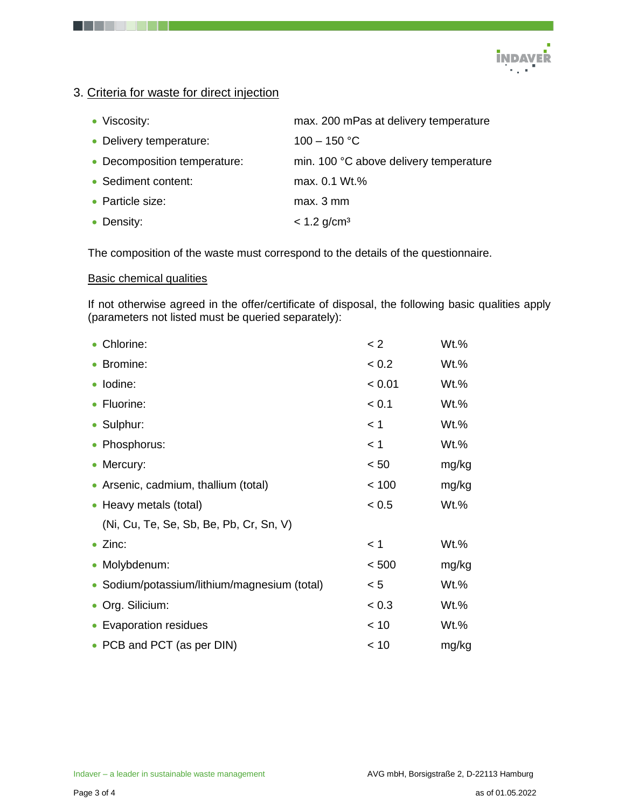

## 3. Criteria for waste for direct injection

| • Viscosity:                 | max. 200 mPas at delivery temperature  |
|------------------------------|----------------------------------------|
| • Delivery temperature:      | $100 - 150 °C$                         |
| • Decomposition temperature: | min. 100 °C above delivery temperature |
| • Sediment content:          | max. 0.1 Wt.%                          |
| • Particle size:             | max. 3 mm                              |
| • Density:                   | $< 1.2$ g/cm <sup>3</sup>              |

The composition of the waste must correspond to the details of the questionnaire.

#### Basic chemical qualities

If not otherwise agreed in the offer/certificate of disposal, the following basic qualities apply (parameters not listed must be queried separately):

| • Chlorine:                                  | < 2    | Wt.%    |
|----------------------------------------------|--------|---------|
| • Bromine:                                   | < 0.2  | $Wt.\%$ |
| · Iodine:                                    | < 0.01 | $Wt.\%$ |
| • Fluorine:                                  | < 0.1  | $Wt.\%$ |
| • Sulphur:                                   | < 1    | $Wt.\%$ |
| • Phosphorus:                                | < 1    | $Wt.\%$ |
| • Mercury:                                   | < 50   | mg/kg   |
| • Arsenic, cadmium, thallium (total)         | < 100  | mg/kg   |
| • Heavy metals (total)                       | < 0.5  | $Wt.\%$ |
| (Ni, Cu, Te, Se, Sb, Be, Pb, Cr, Sn, V)      |        |         |
| $\bullet$ Zinc:                              | < 1    | $Wt.\%$ |
| • Molybdenum:                                | < 500  | mg/kg   |
| • Sodium/potassium/lithium/magnesium (total) | < 5    | $Wt.\%$ |
| • Org. Silicium:                             | < 0.3  | $Wt.\%$ |
| • Evaporation residues                       | < 10   | Wt.%    |
| • PCB and PCT (as per DIN)                   | < 10   | mg/kg   |